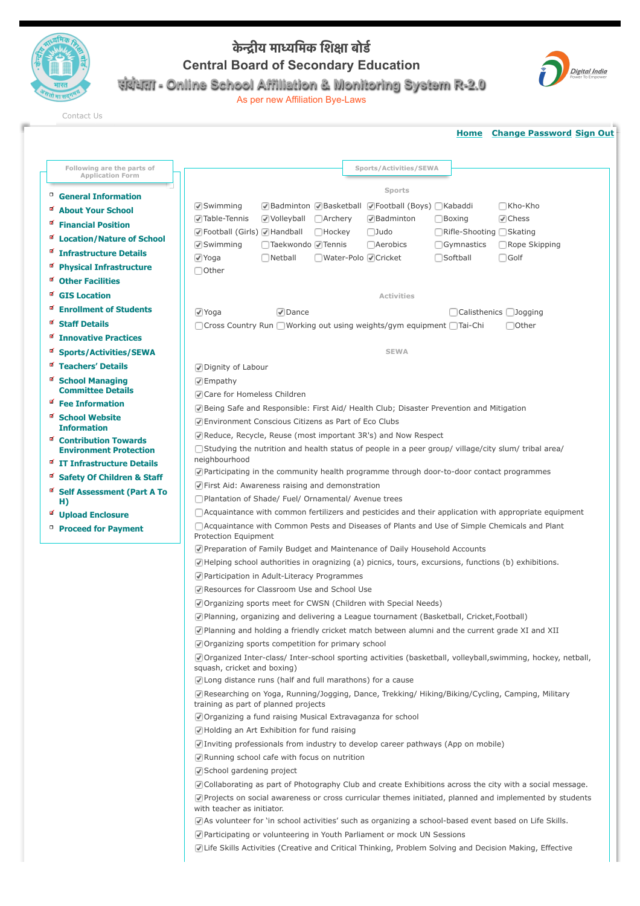

## **के #ीय मा(िमक िश,ा बोड0 Central Board of Secondary Education संबंधता - Online School Affiliation & Monitoring System R-2.0**



As per new Affiliation Bye-Laws

[Contact Us](http://cbseaff.nic.in/cbse_aff/help.aspx)

|                                                       | <b>Home</b> Change Password Sign Out                                                                                                       |  |  |
|-------------------------------------------------------|--------------------------------------------------------------------------------------------------------------------------------------------|--|--|
|                                                       | Sports/Activities/SEWA                                                                                                                     |  |  |
| Following are the parts of<br><b>Application Form</b> |                                                                                                                                            |  |  |
| ο<br><b>General Information</b>                       | Sports                                                                                                                                     |  |  |
| ø<br><b>About Your School</b>                         | √Badminton √Basketball √Football (Boys) Kabaddi<br>□Kho-Kho<br>$\sqrt{\ }$ Swimming                                                        |  |  |
| a,<br><b>Financial Position</b>                       | √Table-Tennis<br>√ Volleyball<br>$\Box$ Archery<br>√Badminton<br>$\Box$ Boxing<br>$\sqrt{\phantom{a}}$ Chess                               |  |  |
| ø<br><b>Location/Nature of School</b>                 | √Football (Girls) √Handball<br>□Rifle-Shooting □Skating<br>$\Box$ Hockey<br>$\Box$ Judo                                                    |  |  |
|                                                       | $\sqrt{S}$ Swimming<br>□Taekwondo √ Tennis<br><b>Aerobics</b><br>Gymnastics<br>□Rope Skipping                                              |  |  |
| <b>Infrastructure Details</b><br>ø                    | √ Yoga<br>$\Box$ Netball<br>□Water-Polo √ Cricket<br>□Softball<br>$\Box$ Golf                                                              |  |  |
| <b>Physical Infrastructure</b>                        | □ Other                                                                                                                                    |  |  |
| <b>Other Facilities</b>                               |                                                                                                                                            |  |  |
| <b>GIS Location</b>                                   | <b>Activities</b>                                                                                                                          |  |  |
| ø<br><b>Enrollment of Students</b>                    | $\sqrt{ }$ Yoga<br>$\triangledown$ Dance<br>□ Calisthenics □ Jogging                                                                       |  |  |
| ø<br><b>Staff Details</b>                             | □ Cross Country Run ■ Working out using weights/gym equipment ■ Tai-Chi<br>□ Other                                                         |  |  |
| ¥.<br><b>Innovative Practices</b>                     |                                                                                                                                            |  |  |
| <b>Sports/Activities/SEWA</b>                         | <b>SEWA</b>                                                                                                                                |  |  |
| M<br><b>Teachers' Details</b>                         | √Dignity of Labour                                                                                                                         |  |  |
| <b>School Managing</b>                                | $\sqrt{ }$ Empathy                                                                                                                         |  |  |
| <b>Committee Details</b><br>ø                         | Care for Homeless Children                                                                                                                 |  |  |
| <b>Fee Information</b>                                | R Being Safe and Responsible: First Aid/ Health Club; Disaster Prevention and Mitigation                                                   |  |  |
| <b>School Website</b><br><b>Information</b>           | ○ Environment Conscious Citizens as Part of Eco Clubs                                                                                      |  |  |
| ø<br><b>Contribution Towards</b>                      | Reduce, Recycle, Reuse (most important 3R's) and Now Respect                                                                               |  |  |
| <b>Environment Protection</b>                         | □ Studying the nutrition and health status of people in a peer group/ village/city slum/ tribal area/                                      |  |  |
| <b>■ IT Infrastructure Details</b>                    | neighbourhood                                                                                                                              |  |  |
| M<br><b>Safety Of Children &amp; Staff</b>            | Participating in the community health programme through door-to-door contact programmes                                                    |  |  |
| a,<br><b>Self Assessment (Part A To</b>               | First Aid: Awareness raising and demonstration                                                                                             |  |  |
| H)                                                    | Plantation of Shade/ Fuel/ Ornamental/ Avenue trees                                                                                        |  |  |
| <b>Upload Enclosure</b>                               | $\Box$ Acquaintance with common fertilizers and pesticides and their application with appropriate equipment                                |  |  |
| <sup>D</sup> Proceed for Payment                      | Acquaintance with Common Pests and Diseases of Plants and Use of Simple Chemicals and Plant<br>Protection Equipment                        |  |  |
|                                                       | Preparation of Family Budget and Maintenance of Daily Household Accounts                                                                   |  |  |
|                                                       | $\sqrt{ }$ Helping school authorities in oragnizing (a) picnics, tours, excursions, functions (b) exhibitions.                             |  |  |
|                                                       | Participation in Adult-Literacy Programmes                                                                                                 |  |  |
|                                                       | Resources for Classroom Use and School Use                                                                                                 |  |  |
|                                                       | Organizing sports meet for CWSN (Children with Special Needs)                                                                              |  |  |
|                                                       | Planning, organizing and delivering a League tournament (Basketball, Cricket, Football)                                                    |  |  |
|                                                       | Planning and holding a friendly cricket match between alumni and the current grade XI and XII                                              |  |  |
|                                                       | Organizing sports competition for primary school                                                                                           |  |  |
|                                                       | Organized Inter-class/ Inter-school sporting activities (basketball, volleyball, swimming, hockey, netball,<br>squash, cricket and boxing) |  |  |
|                                                       | ☑ Long distance runs (half and full marathons) for a cause                                                                                 |  |  |
|                                                       | Researching on Yoga, Running/Jogging, Dance, Trekking/Hiking/Biking/Cycling, Camping, Military<br>training as part of planned projects     |  |  |
|                                                       | Organizing a fund raising Musical Extravaganza for school                                                                                  |  |  |
|                                                       | Holding an Art Exhibition for fund raising                                                                                                 |  |  |
|                                                       | Inviting professionals from industry to develop career pathways (App on mobile)                                                            |  |  |
|                                                       | Running school cafe with focus on nutrition                                                                                                |  |  |
|                                                       | School gardening project                                                                                                                   |  |  |
|                                                       | Collaborating as part of Photography Club and create Exhibitions across the city with a social message.                                    |  |  |
|                                                       | Projects on social awareness or cross curricular themes initiated, planned and implemented by students<br>with teacher as initiator.       |  |  |
|                                                       | As volunteer for 'in school activities' such as organizing a school-based event based on Life Skills.                                      |  |  |
|                                                       | Participating or volunteering in Youth Parliament or mock UN Sessions                                                                      |  |  |
|                                                       | I Life Skills Activities (Creative and Critical Thinking, Problem Solving and Decision Making, Effective                                   |  |  |
|                                                       |                                                                                                                                            |  |  |